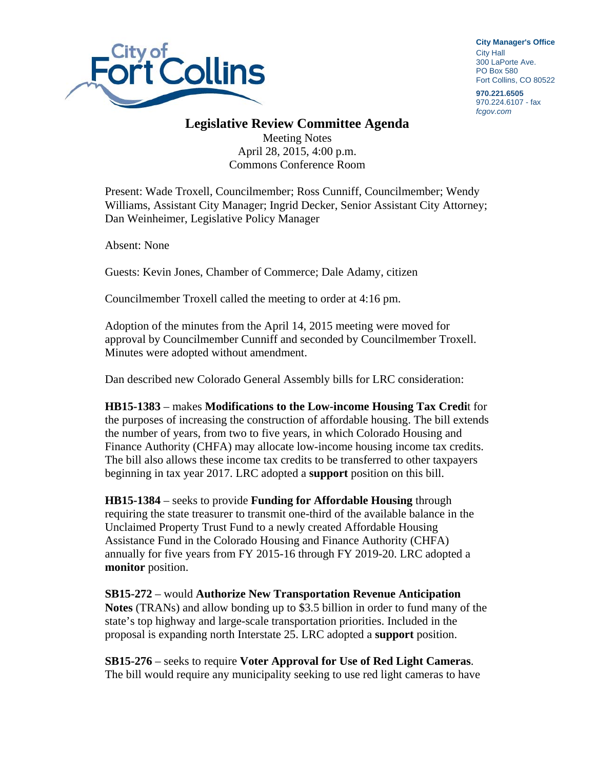

**City Manager**'**s Office** City Hall 300 LaPorte Ave. PO Box 580 Fort Collins, CO 80522

**970.221.6505**  970.224.6107 - fax *fcgov.com* 

## **Legislative Review Committee Agenda**

Meeting Notes April 28, 2015, 4:00 p.m. Commons Conference Room

Present: Wade Troxell, Councilmember; Ross Cunniff, Councilmember; Wendy Williams, Assistant City Manager; Ingrid Decker, Senior Assistant City Attorney; Dan Weinheimer, Legislative Policy Manager

Absent: None

Guests: Kevin Jones, Chamber of Commerce; Dale Adamy, citizen

Councilmember Troxell called the meeting to order at 4:16 pm.

Adoption of the minutes from the April 14, 2015 meeting were moved for approval by Councilmember Cunniff and seconded by Councilmember Troxell. Minutes were adopted without amendment.

Dan described new Colorado General Assembly bills for LRC consideration:

**HB15-1383** – makes **Modifications to the Low-income Housing Tax Credi**t for the purposes of increasing the construction of affordable housing. The bill extends the number of years, from two to five years, in which Colorado Housing and Finance Authority (CHFA) may allocate low-income housing income tax credits. The bill also allows these income tax credits to be transferred to other taxpayers beginning in tax year 2017. LRC adopted a **support** position on this bill.

**HB15-1384** – seeks to provide **Funding for Affordable Housing** through requiring the state treasurer to transmit one-third of the available balance in the Unclaimed Property Trust Fund to a newly created Affordable Housing Assistance Fund in the Colorado Housing and Finance Authority (CHFA) annually for five years from FY 2015-16 through FY 2019-20. LRC adopted a **monitor** position.

**SB15-272** – would **Authorize New Transportation Revenue Anticipation Notes** (TRANs) and allow bonding up to \$3.5 billion in order to fund many of the state's top highway and large-scale transportation priorities. Included in the proposal is expanding north Interstate 25. LRC adopted a **support** position.

**SB15-276** – seeks to require **Voter Approval for Use of Red Light Cameras**. The bill would require any municipality seeking to use red light cameras to have